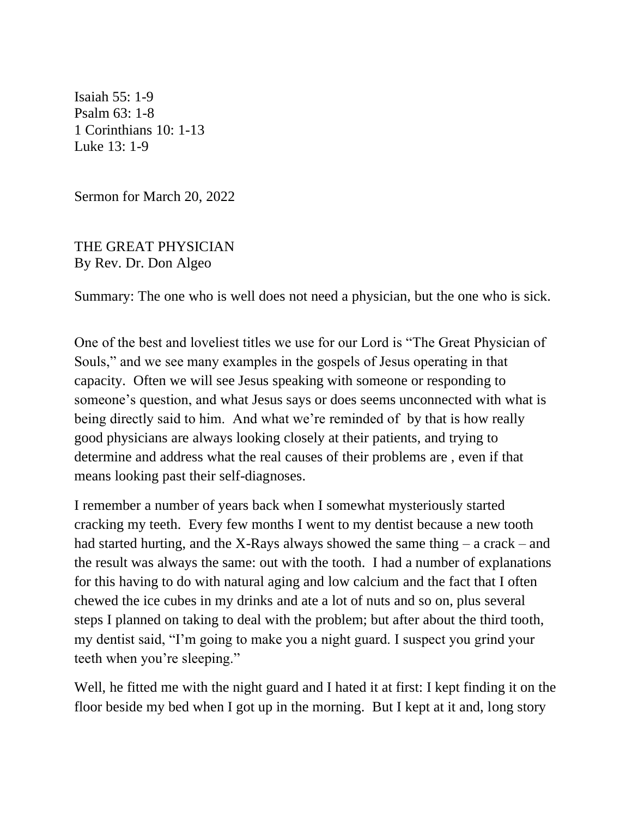Isaiah 55: 1-9 Psalm 63: 1-8 1 Corinthians 10: 1-13 Luke 13: 1-9

Sermon for March 20, 2022

THE GREAT PHYSICIAN By Rev. Dr. Don Algeo

Summary: The one who is well does not need a physician, but the one who is sick.

One of the best and loveliest titles we use for our Lord is "The Great Physician of Souls," and we see many examples in the gospels of Jesus operating in that capacity. Often we will see Jesus speaking with someone or responding to someone's question, and what Jesus says or does seems unconnected with what is being directly said to him. And what we're reminded of by that is how really good physicians are always looking closely at their patients, and trying to determine and address what the real causes of their problems are , even if that means looking past their self-diagnoses.

I remember a number of years back when I somewhat mysteriously started cracking my teeth. Every few months I went to my dentist because a new tooth had started hurting, and the X-Rays always showed the same thing – a crack – and the result was always the same: out with the tooth. I had a number of explanations for this having to do with natural aging and low calcium and the fact that I often chewed the ice cubes in my drinks and ate a lot of nuts and so on, plus several steps I planned on taking to deal with the problem; but after about the third tooth, my dentist said, "I'm going to make you a night guard. I suspect you grind your teeth when you're sleeping."

Well, he fitted me with the night guard and I hated it at first: I kept finding it on the floor beside my bed when I got up in the morning. But I kept at it and, long story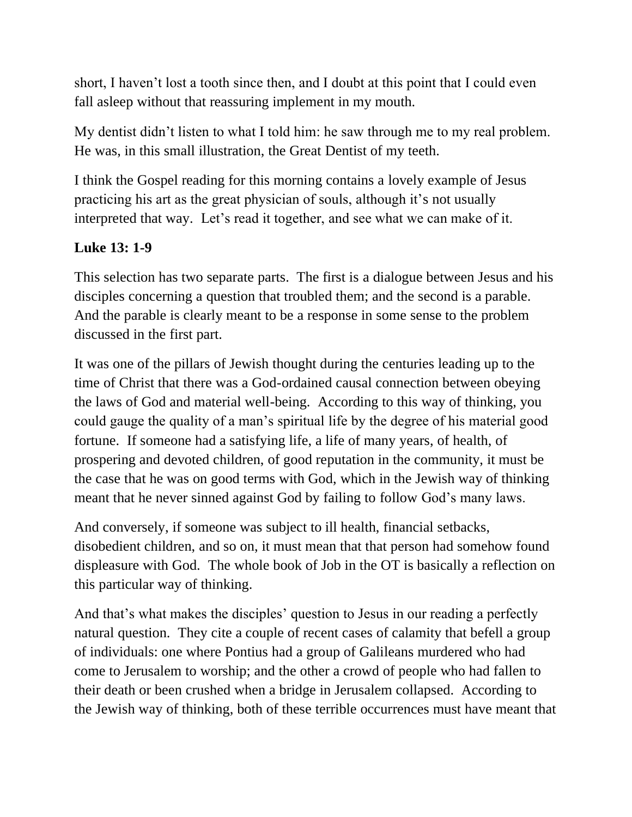short, I haven't lost a tooth since then, and I doubt at this point that I could even fall asleep without that reassuring implement in my mouth.

My dentist didn't listen to what I told him: he saw through me to my real problem. He was, in this small illustration, the Great Dentist of my teeth.

I think the Gospel reading for this morning contains a lovely example of Jesus practicing his art as the great physician of souls, although it's not usually interpreted that way. Let's read it together, and see what we can make of it.

## **Luke 13: 1-9**

This selection has two separate parts. The first is a dialogue between Jesus and his disciples concerning a question that troubled them; and the second is a parable. And the parable is clearly meant to be a response in some sense to the problem discussed in the first part.

It was one of the pillars of Jewish thought during the centuries leading up to the time of Christ that there was a God-ordained causal connection between obeying the laws of God and material well-being. According to this way of thinking, you could gauge the quality of a man's spiritual life by the degree of his material good fortune. If someone had a satisfying life, a life of many years, of health, of prospering and devoted children, of good reputation in the community, it must be the case that he was on good terms with God, which in the Jewish way of thinking meant that he never sinned against God by failing to follow God's many laws.

And conversely, if someone was subject to ill health, financial setbacks, disobedient children, and so on, it must mean that that person had somehow found displeasure with God. The whole book of Job in the OT is basically a reflection on this particular way of thinking.

And that's what makes the disciples' question to Jesus in our reading a perfectly natural question. They cite a couple of recent cases of calamity that befell a group of individuals: one where Pontius had a group of Galileans murdered who had come to Jerusalem to worship; and the other a crowd of people who had fallen to their death or been crushed when a bridge in Jerusalem collapsed. According to the Jewish way of thinking, both of these terrible occurrences must have meant that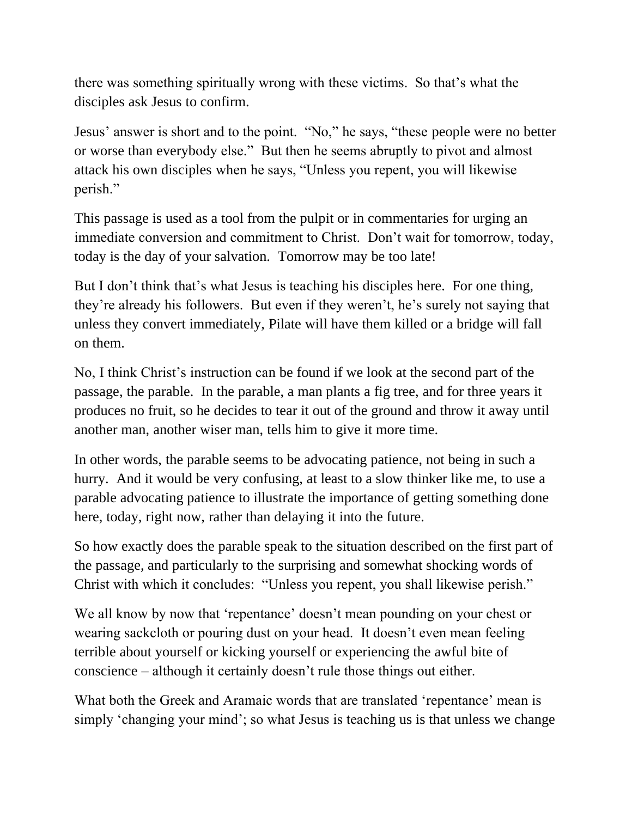there was something spiritually wrong with these victims. So that's what the disciples ask Jesus to confirm.

Jesus' answer is short and to the point. "No," he says, "these people were no better or worse than everybody else." But then he seems abruptly to pivot and almost attack his own disciples when he says, "Unless you repent, you will likewise perish."

This passage is used as a tool from the pulpit or in commentaries for urging an immediate conversion and commitment to Christ. Don't wait for tomorrow, today, today is the day of your salvation. Tomorrow may be too late!

But I don't think that's what Jesus is teaching his disciples here. For one thing, they're already his followers. But even if they weren't, he's surely not saying that unless they convert immediately, Pilate will have them killed or a bridge will fall on them.

No, I think Christ's instruction can be found if we look at the second part of the passage, the parable. In the parable, a man plants a fig tree, and for three years it produces no fruit, so he decides to tear it out of the ground and throw it away until another man, another wiser man, tells him to give it more time.

In other words, the parable seems to be advocating patience, not being in such a hurry. And it would be very confusing, at least to a slow thinker like me, to use a parable advocating patience to illustrate the importance of getting something done here, today, right now, rather than delaying it into the future.

So how exactly does the parable speak to the situation described on the first part of the passage, and particularly to the surprising and somewhat shocking words of Christ with which it concludes: "Unless you repent, you shall likewise perish."

We all know by now that 'repentance' doesn't mean pounding on your chest or wearing sackcloth or pouring dust on your head. It doesn't even mean feeling terrible about yourself or kicking yourself or experiencing the awful bite of conscience – although it certainly doesn't rule those things out either.

What both the Greek and Aramaic words that are translated 'repentance' mean is simply 'changing your mind'; so what Jesus is teaching us is that unless we change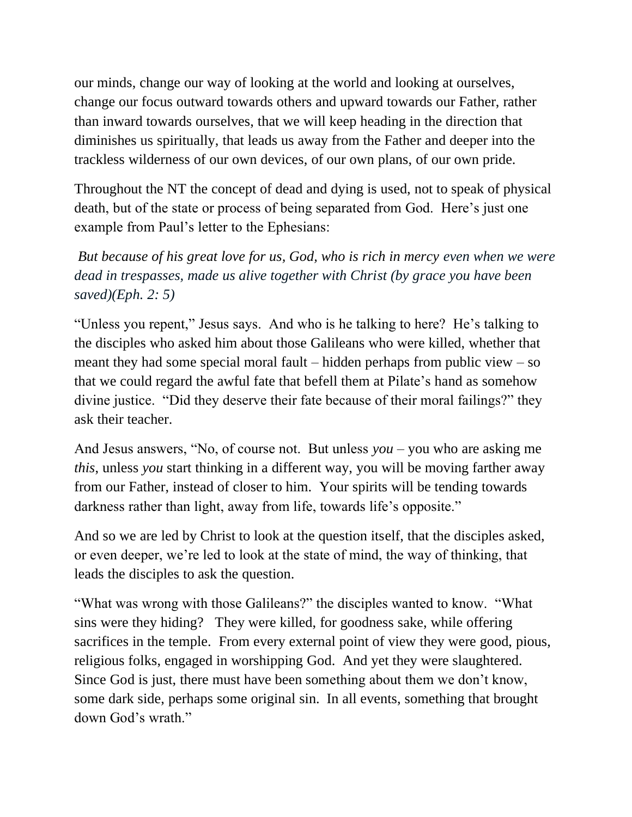our minds, change our way of looking at the world and looking at ourselves, change our focus outward towards others and upward towards our Father, rather than inward towards ourselves, that we will keep heading in the direction that diminishes us spiritually, that leads us away from the Father and deeper into the trackless wilderness of our own devices, of our own plans, of our own pride.

Throughout the NT the concept of dead and dying is used, not to speak of physical death, but of the state or process of being separated from God. Here's just one example from Paul's letter to the Ephesians:

*But because of his great love for us, God, who is rich in mercy even when we were dead in trespasses, made us alive together with Christ (by grace you have been saved)(Eph. 2: 5)*

"Unless you repent," Jesus says. And who is he talking to here? He's talking to the disciples who asked him about those Galileans who were killed, whether that meant they had some special moral fault – hidden perhaps from public view – so that we could regard the awful fate that befell them at Pilate's hand as somehow divine justice. "Did they deserve their fate because of their moral failings?" they ask their teacher.

And Jesus answers, "No, of course not. But unless *you* – you who are asking me *this*, unless *you* start thinking in a different way, you will be moving farther away from our Father, instead of closer to him. Your spirits will be tending towards darkness rather than light, away from life, towards life's opposite."

And so we are led by Christ to look at the question itself, that the disciples asked, or even deeper, we're led to look at the state of mind, the way of thinking, that leads the disciples to ask the question.

"What was wrong with those Galileans?" the disciples wanted to know. "What sins were they hiding? They were killed, for goodness sake, while offering sacrifices in the temple. From every external point of view they were good, pious, religious folks, engaged in worshipping God. And yet they were slaughtered. Since God is just, there must have been something about them we don't know, some dark side, perhaps some original sin. In all events, something that brought down God's wrath."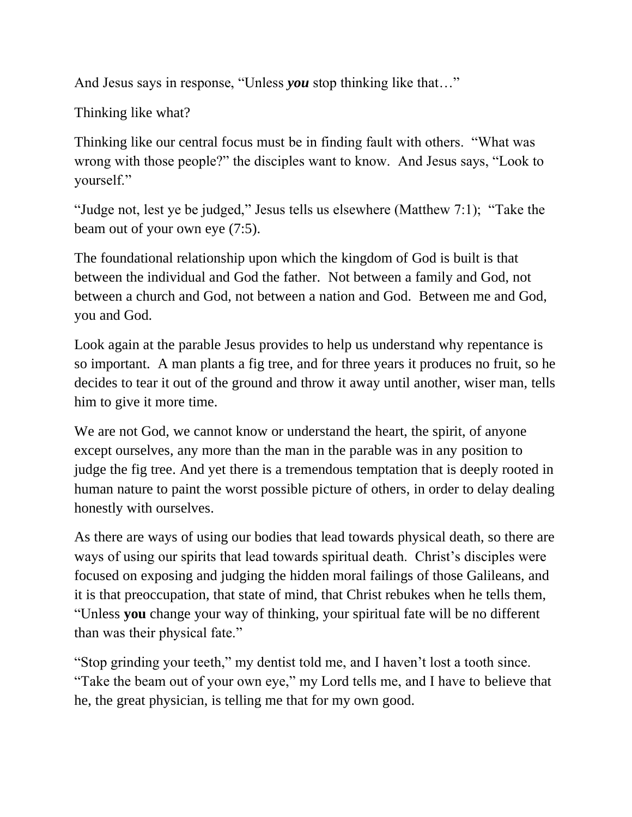And Jesus says in response, "Unless *you* stop thinking like that…"

Thinking like what?

Thinking like our central focus must be in finding fault with others. "What was wrong with those people?" the disciples want to know. And Jesus says, "Look to yourself."

"Judge not, lest ye be judged," Jesus tells us elsewhere (Matthew 7:1); "Take the beam out of your own eye (7:5).

The foundational relationship upon which the kingdom of God is built is that between the individual and God the father. Not between a family and God, not between a church and God, not between a nation and God. Between me and God, you and God.

Look again at the parable Jesus provides to help us understand why repentance is so important. A man plants a fig tree, and for three years it produces no fruit, so he decides to tear it out of the ground and throw it away until another, wiser man, tells him to give it more time.

We are not God, we cannot know or understand the heart, the spirit, of anyone except ourselves, any more than the man in the parable was in any position to judge the fig tree. And yet there is a tremendous temptation that is deeply rooted in human nature to paint the worst possible picture of others, in order to delay dealing honestly with ourselves.

As there are ways of using our bodies that lead towards physical death, so there are ways of using our spirits that lead towards spiritual death. Christ's disciples were focused on exposing and judging the hidden moral failings of those Galileans, and it is that preoccupation, that state of mind, that Christ rebukes when he tells them, "Unless **you** change your way of thinking, your spiritual fate will be no different than was their physical fate."

"Stop grinding your teeth," my dentist told me, and I haven't lost a tooth since. "Take the beam out of your own eye," my Lord tells me, and I have to believe that he, the great physician, is telling me that for my own good.